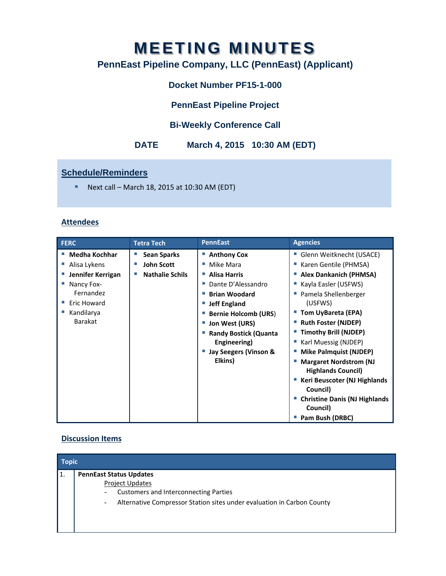# **MEETING MINUTES**

# **PennEast Pipeline Company, LLC (PennEast) (Applicant)**

## **Docket Number PF15-1-000**

## **PennEast Pipeline Project**

## **Bi-Weekly Conference Call**

## **DATE March 4, 2015 10:30 AM (EDT)**

#### **Schedule/Reminders**

Next call – March 18, 2015 at 10:30 AM (EDT)

#### **Attendees**

| <b>FERC</b>          | <b>Tetra Tech</b>      | <b>PennEast</b>              | <b>Agencies</b>                                            |
|----------------------|------------------------|------------------------------|------------------------------------------------------------|
| <b>Medha Kochhar</b> | <b>Sean Sparks</b>     | ■ Anthony Cox                | Glenn Weitknecht (USACE)                                   |
| Alisa Lykens         | <b>John Scott</b>      | Mike Mara<br>m.              | Karen Gentile (PHMSA)                                      |
| Jennifer Kerrigan    | <b>Nathalie Schils</b> | <b>Alisa Harris</b>          | <b>Alex Dankanich (PHMSA)</b>                              |
| Nancy Fox-           |                        | Dante D'Alessandro           | Kayla Easler (USFWS)                                       |
| Fernandez            |                        | <b>Brian Woodard</b><br>п    | Pamela Shellenberger                                       |
| Eric Howard          |                        | <b>Jeff England</b><br>×.    | (USFWS)                                                    |
| Kandilarya           |                        | <b>Bernie Holcomb (URS)</b>  | Tom UyBareta (EPA)                                         |
| <b>Barakat</b>       |                        | Jon West (URS)               | <b>Ruth Foster (NJDEP)</b>                                 |
|                      |                        | <b>Randy Bostick (Quanta</b> | <b>Timothy Brill (NJDEP)</b>                               |
|                      |                        | Engineering)                 | Karl Muessig (NJDEP)                                       |
|                      |                        | Jay Seegers (Vinson &        | <b>Mike Palmquist (NJDEP)</b>                              |
|                      |                        | Elkins)                      | <b>Margaret Nordstrom (NJ</b><br><b>Highlands Council)</b> |
|                      |                        |                              | Keri Beuscoter (NJ Highlands<br>Council)                   |
|                      |                        |                              | <b>Christine Danis (NJ Highlands</b><br>Council)           |
|                      |                        |                              | Pam Bush (DRBC)                                            |

#### **Discussion Items**

| <b>Topic</b> |                                                                                                                                                                                                                                                |  |  |  |
|--------------|------------------------------------------------------------------------------------------------------------------------------------------------------------------------------------------------------------------------------------------------|--|--|--|
| l 1.         | <b>PennEast Status Updates</b><br><b>Project Updates</b><br><b>Customers and Interconnecting Parties</b><br>$\overline{\phantom{a}}$<br>Alternative Compressor Station sites under evaluation in Carbon County<br>$\qquad \qquad \blacksquare$ |  |  |  |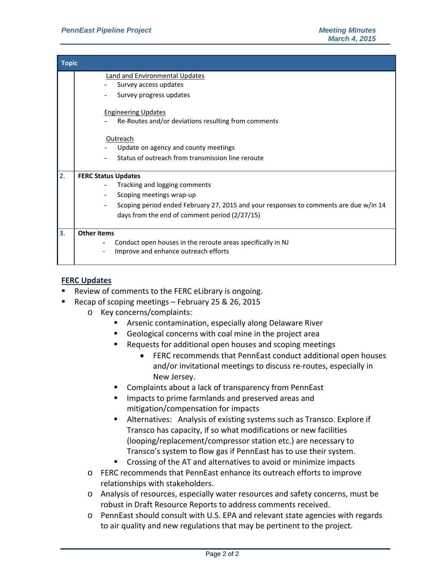| <b>Topic</b> |                                                                                       |  |  |  |
|--------------|---------------------------------------------------------------------------------------|--|--|--|
|              | <b>Land and Environmental Updates</b>                                                 |  |  |  |
|              | Survey access updates                                                                 |  |  |  |
|              | Survey progress updates                                                               |  |  |  |
|              | <b>Engineering Updates</b>                                                            |  |  |  |
|              | Re-Routes and/or deviations resulting from comments                                   |  |  |  |
|              | Outreach                                                                              |  |  |  |
|              | Update on agency and county meetings                                                  |  |  |  |
|              | Status of outreach from transmission line reroute                                     |  |  |  |
| 2.           | <b>FERC Status Updates</b>                                                            |  |  |  |
|              | Tracking and logging comments                                                         |  |  |  |
|              | Scoping meetings wrap-up                                                              |  |  |  |
|              | Scoping period ended February 27, 2015 and your responses to comments are due w/in 14 |  |  |  |
|              | days from the end of comment period (2/27/15)                                         |  |  |  |
| 3.           | <b>Other items</b>                                                                    |  |  |  |
|              | Conduct open houses in the reroute areas specifically in NJ                           |  |  |  |
|              | Improve and enhance outreach efforts                                                  |  |  |  |
|              |                                                                                       |  |  |  |

#### **FERC Updates**

- Review of comments to the FERC eLibrary is ongoing.
- Recap of scoping meetings February 25 & 26, 2015
	- o Key concerns/complaints:
		- **Arsenic contamination, especially along Delaware River**
		- Geological concerns with coal mine in the project area
		- Requests for additional open houses and scoping meetings
			- FERC recommends that PennEast conduct additional open houses and/or invitational meetings to discuss re‐routes, especially in New Jersey.
		- Complaints about a lack of transparency from PennEast
		- **IMPACTE 19 Impacts to prime farmlands and preserved areas and** mitigation/compensation for impacts
		- Alternatives: Analysis of existing systems such as Transco. Explore if Transco has capacity, if so what modifications or new facilities (looping/replacement/compressor station etc.) are necessary to Transco's system to flow gas if PennEast has to use their system.
		- **Crossing of the AT and alternatives to avoid or minimize impacts**
	- o FERC recommends that PennEast enhance its outreach efforts to improve relationships with stakeholders.
	- o Analysis of resources, especially water resources and safety concerns, must be robust in Draft Resource Reports to address comments received.
	- o PennEast should consult with U.S. EPA and relevant state agencies with regards to air quality and new regulations that may be pertinent to the project.